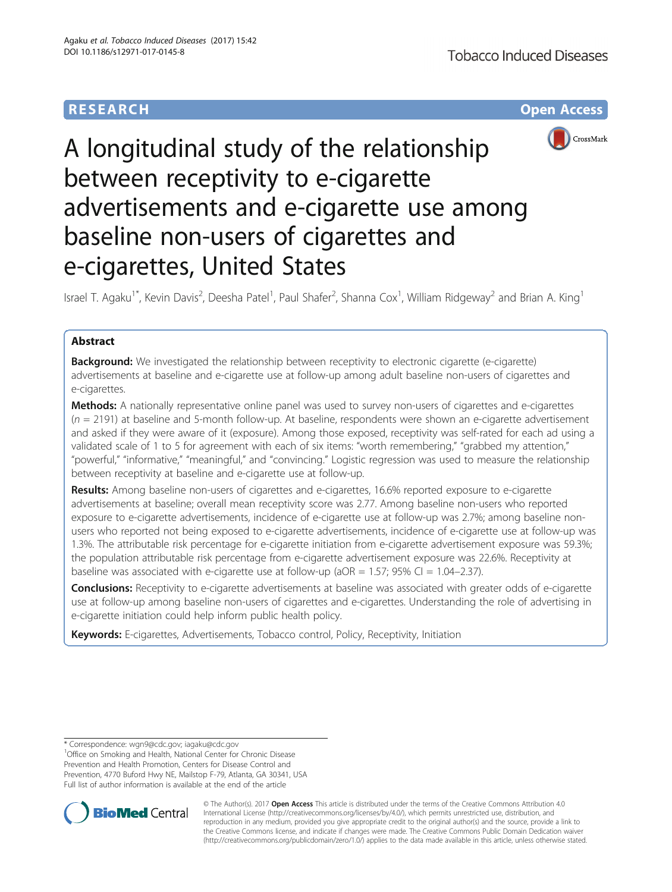## **RESEARCH CHE Open Access**



# A longitudinal study of the relationship between receptivity to e-cigarette advertisements and e-cigarette use among baseline non-users of cigarettes and e-cigarettes, United States

Israel T. Agaku<sup>1\*</sup>, Kevin Davis<sup>2</sup>, Deesha Patel<sup>1</sup>, Paul Shafer<sup>2</sup>, Shanna Cox<sup>1</sup>, William Ridgeway<sup>2</sup> and Brian A. King<sup>1</sup>

## Abstract

**Background:** We investigated the relationship between receptivity to electronic cigarette (e-cigarette) advertisements at baseline and e-cigarette use at follow-up among adult baseline non-users of cigarettes and e-cigarettes.

Methods: A nationally representative online panel was used to survey non-users of cigarettes and e-cigarettes  $(n = 2191)$  at baseline and 5-month follow-up. At baseline, respondents were shown an e-cigarette advertisement and asked if they were aware of it (exposure). Among those exposed, receptivity was self-rated for each ad using a validated scale of 1 to 5 for agreement with each of six items: "worth remembering," "grabbed my attention," "powerful," "informative," "meaningful," and "convincing." Logistic regression was used to measure the relationship between receptivity at baseline and e-cigarette use at follow-up.

Results: Among baseline non-users of cigarettes and e-cigarettes, 16.6% reported exposure to e-cigarette advertisements at baseline; overall mean receptivity score was 2.77. Among baseline non-users who reported exposure to e-cigarette advertisements, incidence of e-cigarette use at follow-up was 2.7%; among baseline nonusers who reported not being exposed to e-cigarette advertisements, incidence of e-cigarette use at follow-up was 1.3%. The attributable risk percentage for e-cigarette initiation from e-cigarette advertisement exposure was 59.3%; the population attributable risk percentage from e-cigarette advertisement exposure was 22.6%. Receptivity at baseline was associated with e-cigarette use at follow-up ( $aOR = 1.57$ ;  $95\%$  CI = 1.04-2.37).

**Conclusions:** Receptivity to e-cigarette advertisements at baseline was associated with greater odds of e-cigarette use at follow-up among baseline non-users of cigarettes and e-cigarettes. Understanding the role of advertising in e-cigarette initiation could help inform public health policy.

Keywords: E-cigarettes, Advertisements, Tobacco control, Policy, Receptivity, Initiation

\* Correspondence: [wgn9@cdc.gov](mailto:wgn9@cdc.gov); [iagaku@cdc.gov](mailto:iagaku@cdc.gov) <sup>1</sup>

<sup>1</sup>Office on Smoking and Health, National Center for Chronic Disease Prevention and Health Promotion, Centers for Disease Control and Prevention, 4770 Buford Hwy NE, Mailstop F-79, Atlanta, GA 30341, USA Full list of author information is available at the end of the article



© The Author(s). 2017 **Open Access** This article is distributed under the terms of the Creative Commons Attribution 4.0 International License [\(http://creativecommons.org/licenses/by/4.0/](http://creativecommons.org/licenses/by/4.0/)), which permits unrestricted use, distribution, and reproduction in any medium, provided you give appropriate credit to the original author(s) and the source, provide a link to the Creative Commons license, and indicate if changes were made. The Creative Commons Public Domain Dedication waiver [\(http://creativecommons.org/publicdomain/zero/1.0/](http://creativecommons.org/publicdomain/zero/1.0/)) applies to the data made available in this article, unless otherwise stated.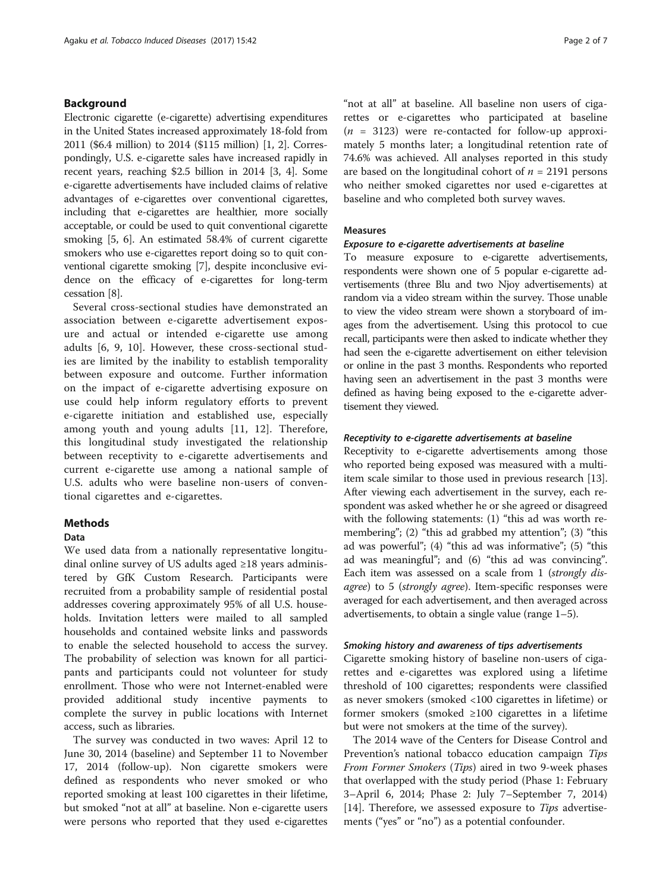## Background

Electronic cigarette (e-cigarette) advertising expenditures in the United States increased approximately 18-fold from 2011 (\$6.4 million) to 2014 (\$115 million) [\[1](#page-6-0), [2](#page-6-0)]. Correspondingly, U.S. e-cigarette sales have increased rapidly in recent years, reaching \$2.5 billion in 2014 [\[3](#page-6-0), [4](#page-6-0)]. Some e-cigarette advertisements have included claims of relative advantages of e-cigarettes over conventional cigarettes, including that e-cigarettes are healthier, more socially acceptable, or could be used to quit conventional cigarette smoking [\[5](#page-6-0), [6](#page-6-0)]. An estimated 58.4% of current cigarette smokers who use e-cigarettes report doing so to quit conventional cigarette smoking [\[7](#page-6-0)], despite inconclusive evidence on the efficacy of e-cigarettes for long-term cessation [[8](#page-6-0)].

Several cross-sectional studies have demonstrated an association between e-cigarette advertisement exposure and actual or intended e-cigarette use among adults [[6, 9](#page-6-0), [10](#page-6-0)]. However, these cross-sectional studies are limited by the inability to establish temporality between exposure and outcome. Further information on the impact of e-cigarette advertising exposure on use could help inform regulatory efforts to prevent e-cigarette initiation and established use, especially among youth and young adults [[11, 12\]](#page-6-0). Therefore, this longitudinal study investigated the relationship between receptivity to e-cigarette advertisements and current e-cigarette use among a national sample of U.S. adults who were baseline non-users of conventional cigarettes and e-cigarettes.

## Methods

## Data

We used data from a nationally representative longitudinal online survey of US adults aged ≥18 years administered by GfK Custom Research. Participants were recruited from a probability sample of residential postal addresses covering approximately 95% of all U.S. households. Invitation letters were mailed to all sampled households and contained website links and passwords to enable the selected household to access the survey. The probability of selection was known for all participants and participants could not volunteer for study enrollment. Those who were not Internet-enabled were provided additional study incentive payments to complete the survey in public locations with Internet access, such as libraries.

The survey was conducted in two waves: April 12 to June 30, 2014 (baseline) and September 11 to November 17, 2014 (follow-up). Non cigarette smokers were defined as respondents who never smoked or who reported smoking at least 100 cigarettes in their lifetime, but smoked "not at all" at baseline. Non e-cigarette users were persons who reported that they used e-cigarettes "not at all" at baseline. All baseline non users of cigarettes or e-cigarettes who participated at baseline  $(n = 3123)$  were re-contacted for follow-up approximately 5 months later; a longitudinal retention rate of 74.6% was achieved. All analyses reported in this study are based on the longitudinal cohort of  $n = 2191$  persons who neither smoked cigarettes nor used e-cigarettes at baseline and who completed both survey waves.

## Measures

## Exposure to e-cigarette advertisements at baseline

To measure exposure to e-cigarette advertisements, respondents were shown one of 5 popular e-cigarette advertisements (three Blu and two Njoy advertisements) at random via a video stream within the survey. Those unable to view the video stream were shown a storyboard of images from the advertisement. Using this protocol to cue recall, participants were then asked to indicate whether they had seen the e-cigarette advertisement on either television or online in the past 3 months. Respondents who reported having seen an advertisement in the past 3 months were defined as having being exposed to the e-cigarette advertisement they viewed.

## Receptivity to e-cigarette advertisements at baseline

Receptivity to e-cigarette advertisements among those who reported being exposed was measured with a multiitem scale similar to those used in previous research [[13](#page-6-0)]. After viewing each advertisement in the survey, each respondent was asked whether he or she agreed or disagreed with the following statements: (1) "this ad was worth remembering"; (2) "this ad grabbed my attention"; (3) "this ad was powerful"; (4) "this ad was informative"; (5) "this ad was meaningful"; and (6) "this ad was convincing". Each item was assessed on a scale from 1 (strongly disagree) to 5 (strongly agree). Item-specific responses were averaged for each advertisement, and then averaged across advertisements, to obtain a single value (range 1–5).

## Smoking history and awareness of tips advertisements

Cigarette smoking history of baseline non-users of cigarettes and e-cigarettes was explored using a lifetime threshold of 100 cigarettes; respondents were classified as never smokers (smoked <100 cigarettes in lifetime) or former smokers (smoked ≥100 cigarettes in a lifetime but were not smokers at the time of the survey).

The 2014 wave of the Centers for Disease Control and Prevention's national tobacco education campaign Tips From Former Smokers (Tips) aired in two 9-week phases that overlapped with the study period (Phase 1: February 3–April 6, 2014; Phase 2: July 7–September 7, 2014) [[14\]](#page-6-0). Therefore, we assessed exposure to *Tips* advertisements ("yes" or "no") as a potential confounder.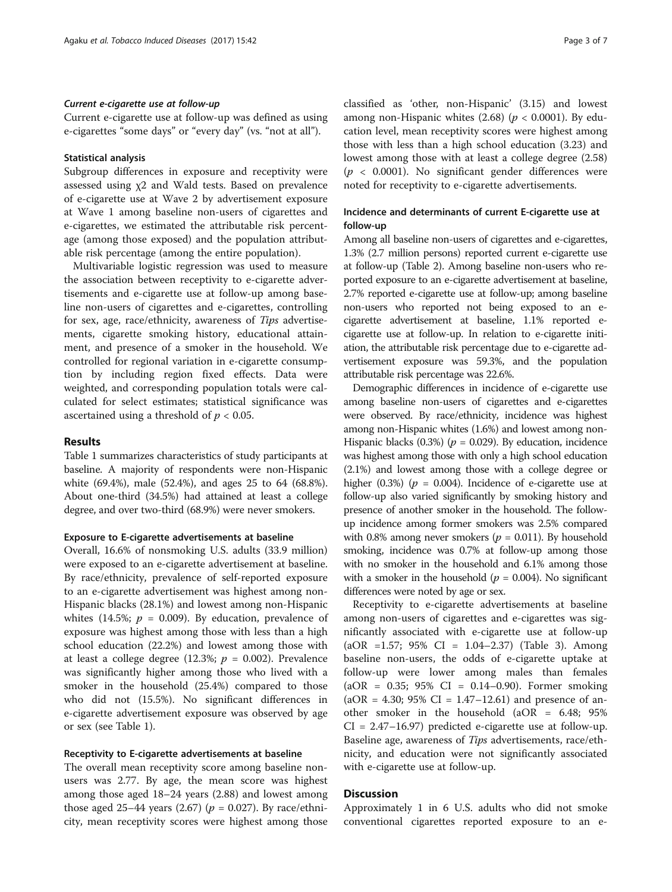## Current e-cigarette use at follow-up

Current e-cigarette use at follow-up was defined as using e-cigarettes "some days" or "every day" (vs. "not at all").

## Statistical analysis

Subgroup differences in exposure and receptivity were assessed using χ2 and Wald tests. Based on prevalence of e-cigarette use at Wave 2 by advertisement exposure at Wave 1 among baseline non-users of cigarettes and e-cigarettes, we estimated the attributable risk percentage (among those exposed) and the population attributable risk percentage (among the entire population).

Multivariable logistic regression was used to measure the association between receptivity to e-cigarette advertisements and e-cigarette use at follow-up among baseline non-users of cigarettes and e-cigarettes, controlling for sex, age, race/ethnicity, awareness of Tips advertisements, cigarette smoking history, educational attainment, and presence of a smoker in the household. We controlled for regional variation in e-cigarette consumption by including region fixed effects. Data were weighted, and corresponding population totals were calculated for select estimates; statistical significance was ascertained using a threshold of  $p < 0.05$ .

## Results

Table [1](#page-3-0) summarizes characteristics of study participants at baseline. A majority of respondents were non-Hispanic white (69.4%), male (52.4%), and ages 25 to 64 (68.8%). About one-third (34.5%) had attained at least a college degree, and over two-third (68.9%) were never smokers.

#### Exposure to E-cigarette advertisements at baseline

Overall, 16.6% of nonsmoking U.S. adults (33.9 million) were exposed to an e-cigarette advertisement at baseline. By race/ethnicity, prevalence of self-reported exposure to an e-cigarette advertisement was highest among non-Hispanic blacks (28.1%) and lowest among non-Hispanic whites (14.5%;  $p = 0.009$ ). By education, prevalence of exposure was highest among those with less than a high school education (22.2%) and lowest among those with at least a college degree (12.3%;  $p = 0.002$ ). Prevalence was significantly higher among those who lived with a smoker in the household (25.4%) compared to those who did not (15.5%). No significant differences in e-cigarette advertisement exposure was observed by age or sex (see Table [1](#page-3-0)).

## Receptivity to E-cigarette advertisements at baseline

The overall mean receptivity score among baseline nonusers was 2.77. By age, the mean score was highest among those aged 18–24 years (2.88) and lowest among those aged 25–44 years (2.67) ( $p = 0.027$ ). By race/ethnicity, mean receptivity scores were highest among those classified as 'other, non-Hispanic' (3.15) and lowest among non-Hispanic whites  $(2.68)$  ( $p < 0.0001$ ). By education level, mean receptivity scores were highest among those with less than a high school education (3.23) and lowest among those with at least a college degree (2.58)  $(p < 0.0001)$ . No significant gender differences were noted for receptivity to e-cigarette advertisements.

## Incidence and determinants of current E-cigarette use at follow-up

Among all baseline non-users of cigarettes and e-cigarettes, 1.3% (2.7 million persons) reported current e-cigarette use at follow-up (Table [2\)](#page-4-0). Among baseline non-users who reported exposure to an e-cigarette advertisement at baseline, 2.7% reported e-cigarette use at follow-up; among baseline non-users who reported not being exposed to an ecigarette advertisement at baseline, 1.1% reported ecigarette use at follow-up. In relation to e-cigarette initiation, the attributable risk percentage due to e-cigarette advertisement exposure was 59.3%, and the population attributable risk percentage was 22.6%.

Demographic differences in incidence of e-cigarette use among baseline non-users of cigarettes and e-cigarettes were observed. By race/ethnicity, incidence was highest among non-Hispanic whites (1.6%) and lowest among non-Hispanic blacks (0.3%) ( $p = 0.029$ ). By education, incidence was highest among those with only a high school education (2.1%) and lowest among those with a college degree or higher (0.3%) ( $p = 0.004$ ). Incidence of e-cigarette use at follow-up also varied significantly by smoking history and presence of another smoker in the household. The followup incidence among former smokers was 2.5% compared with 0.8% among never smokers ( $p = 0.011$ ). By household smoking, incidence was 0.7% at follow-up among those with no smoker in the household and 6.1% among those with a smoker in the household ( $p = 0.004$ ). No significant differences were noted by age or sex.

Receptivity to e-cigarette advertisements at baseline among non-users of cigarettes and e-cigarettes was significantly associated with e-cigarette use at follow-up (aOR =1.57; 95% CI = 1.04–2.37) (Table [3](#page-5-0)). Among baseline non-users, the odds of e-cigarette uptake at follow-up were lower among males than females  $(aOR = 0.35; 95\% \text{ CI} = 0.14{\text{-}}0.90)$ . Former smoking  $(aOR = 4.30; 95\% CI = 1.47–12.61)$  and presence of another smoker in the household (aOR = 6.48; 95%  $CI = 2.47 - 16.97$  predicted e-cigarette use at follow-up. Baseline age, awareness of Tips advertisements, race/ethnicity, and education were not significantly associated with e-cigarette use at follow-up.

## **Discussion**

Approximately 1 in 6 U.S. adults who did not smoke conventional cigarettes reported exposure to an e-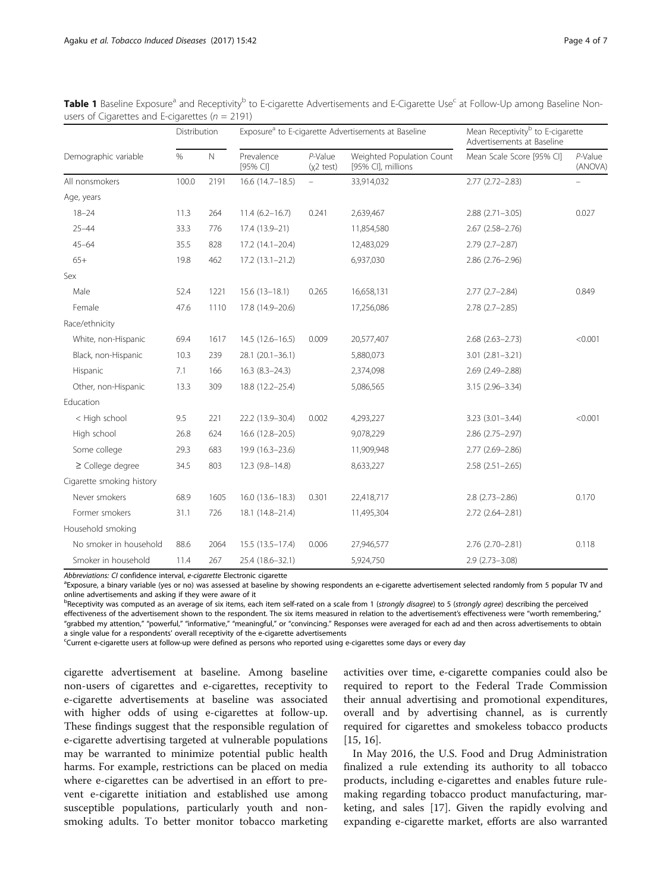|                           | Distribution |              | Exposure <sup>a</sup> to E-cigarette Advertisements at Baseline |                        |                                                 | Mean Receptivity <sup>b</sup> to E-cigarette<br>Advertisements at Baseline |                      |
|---------------------------|--------------|--------------|-----------------------------------------------------------------|------------------------|-------------------------------------------------|----------------------------------------------------------------------------|----------------------|
| Demographic variable      | %            | $\mathsf{N}$ | Prevalence<br>[95% CI]                                          | $P-Value$<br>(x2 test) | Weighted Population Count<br>[95% CI], millions | Mean Scale Score [95% CI]                                                  | $P-Value$<br>(ANOVA) |
| All nonsmokers            | 100.0        | 2191         | 16.6 (14.7-18.5)                                                |                        | 33,914,032                                      | $2.77(2.72 - 2.83)$                                                        |                      |
| Age, years                |              |              |                                                                 |                        |                                                 |                                                                            |                      |
| $18 - 24$                 | 11.3         | 264          | $11.4(6.2 - 16.7)$                                              | 0.241                  | 2,639,467                                       | $2.88(2.71 - 3.05)$                                                        | 0.027                |
| $25 - 44$                 | 33.3         | 776          | 17.4 (13.9-21)                                                  |                        | 11,854,580                                      | $2.67(2.58 - 2.76)$                                                        |                      |
| $45 - 64$                 | 35.5         | 828          | 17.2 (14.1-20.4)                                                |                        | 12,483,029                                      | $2.79(2.7 - 2.87)$                                                         |                      |
| $65+$                     | 19.8         | 462          | $17.2(13.1 - 21.2)$                                             |                        | 6,937,030                                       | 2.86 (2.76-2.96)                                                           |                      |
| Sex                       |              |              |                                                                 |                        |                                                 |                                                                            |                      |
| Male                      | 52.4         | 1221         | $15.6(13-18.1)$                                                 | 0.265                  | 16,658,131                                      | $2.77(2.7-2.84)$                                                           | 0.849                |
| Female                    | 47.6         | 1110         | 17.8 (14.9-20.6)                                                |                        | 17,256,086                                      | $2.78$ $(2.7 - 2.85)$                                                      |                      |
| Race/ethnicity            |              |              |                                                                 |                        |                                                 |                                                                            |                      |
| White, non-Hispanic       | 69.4         | 1617         | 14.5 (12.6-16.5)                                                | 0.009                  | 20,577,407                                      | $2.68$ $(2.63 - 2.73)$                                                     | < 0.001              |
| Black, non-Hispanic       | 10.3         | 239          | 28.1 (20.1-36.1)                                                |                        | 5,880,073                                       | $3.01(2.81 - 3.21)$                                                        |                      |
| Hispanic                  | 7.1          | 166          | $16.3 (8.3 - 24.3)$                                             |                        | 2,374,098                                       | 2.69 (2.49-2.88)                                                           |                      |
| Other, non-Hispanic       | 13.3         | 309          | 18.8 (12.2-25.4)                                                |                        | 5,086,565                                       | 3.15 (2.96-3.34)                                                           |                      |
| Education                 |              |              |                                                                 |                        |                                                 |                                                                            |                      |
| < High school             | 9.5          | 221          | 22.2 (13.9-30.4)                                                | 0.002                  | 4,293,227                                       | $3.23(3.01 - 3.44)$                                                        | < 0.001              |
| High school               | 26.8         | 624          | 16.6 (12.8-20.5)                                                |                        | 9,078,229                                       | 2.86 (2.75-2.97)                                                           |                      |
| Some college              | 29.3         | 683          | 19.9 (16.3-23.6)                                                |                        | 11,909,948                                      | $2.77(2.69 - 2.86)$                                                        |                      |
| $\geq$ College degree     | 34.5         | 803          | 12.3 (9.8-14.8)                                                 |                        | 8,633,227                                       | $2.58(2.51 - 2.65)$                                                        |                      |
| Cigarette smoking history |              |              |                                                                 |                        |                                                 |                                                                            |                      |
| Never smokers             | 68.9         | 1605         | $16.0(13.6 - 18.3)$                                             | 0.301                  | 22,418,717                                      | $2.8(2.73 - 2.86)$                                                         | 0.170                |
| Former smokers            | 31.1         | 726          | 18.1 (14.8-21.4)                                                |                        | 11,495,304                                      | 2.72 (2.64-2.81)                                                           |                      |
| Household smoking         |              |              |                                                                 |                        |                                                 |                                                                            |                      |
| No smoker in household    | 88.6         | 2064         | 15.5 (13.5-17.4)                                                | 0.006                  | 27,946,577                                      | 2.76 (2.70-2.81)                                                           | 0.118                |
| Smoker in household       | 11.4         | 267          | 25.4 (18.6-32.1)                                                |                        | 5,924,750                                       | $2.9(2.73 - 3.08)$                                                         |                      |

<span id="page-3-0"></span>Table 1 Baseline Exposure<sup>a</sup> and Receptivity<sup>b</sup> to E-cigarette Advertisements and E-Cigarette Use<sup>c</sup> at Follow-Up among Baseline Nonusers of Cigarettes and E-cigarettes ( $n = 2191$ )

Abbreviations: CI confidence interval, e-cigarette Electronic cigarette

<sup>a</sup>Exposure, a binary variable (yes or no) was assessed at baseline by showing respondents an e-cigarette advertisement selected randomly from 5 popular TV and online advertisements and asking if they were aware of it

<sup>b</sup>Receptivity was computed as an average of six items, each item self-rated on a scale from 1 (strongly disagree) to 5 (strongly agree) describing the perceived effectiveness of the advertisement shown to the respondent. The six items measured in relation to the advertisement's effectiveness were "worth remembering," "grabbed my attention," "powerful," "informative," "meaningful," or "convincing." Responses were averaged for each ad and then across advertisements to obtain a single value for a respondents' overall receptivity of the e-cigarette advertisements

Current e-cigarette users at follow-up were defined as persons who reported using e-cigarettes some days or every day

cigarette advertisement at baseline. Among baseline non-users of cigarettes and e-cigarettes, receptivity to e-cigarette advertisements at baseline was associated with higher odds of using e-cigarettes at follow-up. These findings suggest that the responsible regulation of e-cigarette advertising targeted at vulnerable populations may be warranted to minimize potential public health harms. For example, restrictions can be placed on media where e-cigarettes can be advertised in an effort to prevent e-cigarette initiation and established use among susceptible populations, particularly youth and nonsmoking adults. To better monitor tobacco marketing

activities over time, e-cigarette companies could also be required to report to the Federal Trade Commission their annual advertising and promotional expenditures, overall and by advertising channel, as is currently required for cigarettes and smokeless tobacco products [[15, 16\]](#page-6-0).

In May 2016, the U.S. Food and Drug Administration finalized a rule extending its authority to all tobacco products, including e-cigarettes and enables future rulemaking regarding tobacco product manufacturing, marketing, and sales [\[17](#page-6-0)]. Given the rapidly evolving and expanding e-cigarette market, efforts are also warranted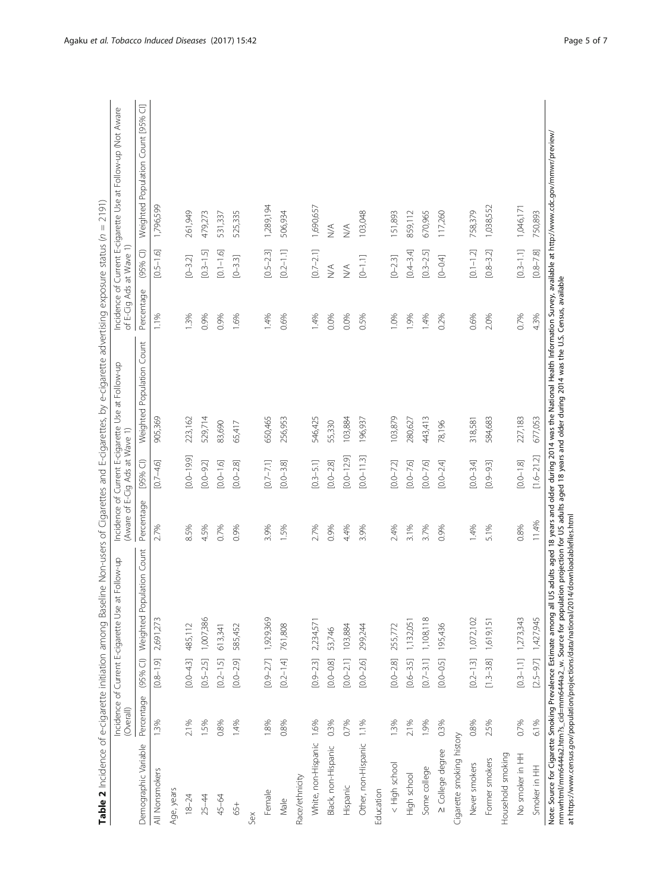<span id="page-4-0"></span>

|                           | (Overall)  |               | at Follow-up<br>Incidence of Current E-cigarette Use | (Aware of  | E-Cig Ads at Wave 1) | Incidence of Current E-cigarette Use at Follow-up | of E-Cig Ads at Wave |               | Incidence of Current E-cigarette Use at Follow-up (Not Aware |
|---------------------------|------------|---------------|------------------------------------------------------|------------|----------------------|---------------------------------------------------|----------------------|---------------|--------------------------------------------------------------|
| Demographic Variable      | Percentage | $(95%$ Cl)    | pulation Count<br>Weighted Po                        | Percentage | $[95%$ Cl)           | Weighted Population Count                         | Percentage           | $(95%$ Cl)    | $\overline{\cup}$<br>Weighted Population Count [95%          |
| All Nonsmokers            | 1.3%       | $[0.8 - 1.9]$ | 2,691,273                                            | 2.7%       | $[0.7 - 4.6]$        | 905,369                                           | 1.1%                 | $[0.5 - 1.6]$ | 1,796,599                                                    |
| Age, years                |            |               |                                                      |            |                      |                                                   |                      |               |                                                              |
| $18 - 24$                 | 2.1%       | $[0.0 - 4.3]$ | 485,112                                              | 8.5%       | $[6.61 - 0.0]$       | 223,162                                           | 1.3%                 | $[0 - 3.2]$   | 261,949                                                      |
| $25 - 44$                 | 1.5%       | $[0.5 - 2.5]$ | 1,007,386                                            | 4.5%       | $[0.0 - 9.2]$        | 529,714                                           | 0.9%                 | $[0.3 - 1.5]$ | 479,273                                                      |
| 45-64                     | 0.8%       | $[0.2 - 1.5]$ | 613,341                                              | 0.7%       | $[0.0 - 1.6]$        | 83,690                                            | 0.9%                 | $[0.1 - 1.6]$ | 531,337                                                      |
| $65+$                     | 1.4%       | $[0.0 - 2.9]$ | 585,452                                              | 0.9%       | $[0.0 - 2.8]$        | 65,417                                            | 1.6%                 | $[0 - 3.3]$   | 525,335                                                      |
| Sex                       |            |               |                                                      |            |                      |                                                   |                      |               |                                                              |
| Female                    | 1.8%       | $[0.9 - 2.7]$ | 1,929,369                                            | 3.9%       | $[0.7 - 7.1]$        | 650,465                                           | 1.4%                 | $[0.5 - 2.3]$ | 1,289,194                                                    |
| Male                      | 0.8%       | $[0.2 - 1.4]$ | 761,808                                              | 1.5%       | $[0.0 - 3.8]$        | 256,953                                           | 0.6%                 | $[0.2 - 1.1]$ | 506,934                                                      |
| Race/ethnicity            |            |               |                                                      |            |                      |                                                   |                      |               |                                                              |
| White, non-Hispanic 1.6%  |            | $[0.9 - 2.3]$ | 2,234,571                                            | 2.7%       | $[0.3 - 5.1]$        | 546,425                                           | 1.4%                 | $[0.7 - 2.1]$ | 1,690,657                                                    |
| Black, non-Hispanic       | 0.3%       | $[0.0 - 0.8]$ | 53,746                                               | 0.9%       | $[0.0 - 2.8]$        | 55,330                                            | 0.0%                 | $\lessgtr$    | $\lesssim$                                                   |
| Hispanic                  | 0.7%       | $[0.0 - 2.1]$ | 103,884                                              | 4.4%       | $[0.0 - 12.9]$       | 103,884                                           | 0.0%                 | $\lesssim$    | $\stackrel{\triangleleft}{\geq}$                             |
| Other, non-Hispanic       | 1.1%       | $[0.0 - 2.6]$ | 299,244                                              | 3.9%       | $[0.0 - 11.3]$       | 196,937                                           | 0.5%                 | $[0 - 1.1]$   | 103,048                                                      |
| Education                 |            |               |                                                      |            |                      |                                                   |                      |               |                                                              |
| < High school             | 1.3%       | $[0.0 - 2.8]$ | 255,772                                              | 2.4%       | $[0.0 - 7.2]$        | 103,879                                           | 1.0%                 | $[0 - 2.3]$   | 151,893                                                      |
| High school               | 2.1%       | $[0.6 - 3.5]$ | 1,132,051                                            | 3.1%       | $[0.0 - 7.6]$        | 280,627                                           | 1.9%                 | $[0.4 - 3.4]$ | 859,112                                                      |
| Some college              | 1.9%       | $[0.7 - 3.1]$ | 1,108,118                                            | 3.7%       | $[0.0 - 7.6]$        | 443,413                                           | 1.4%                 | $[0.3 - 2.5]$ | 670,965                                                      |
| 2 College degree          | 0.3%       | $[0.0 - 0.5]$ | 195,436                                              | 0.9%       | $[0.0 - 2.4]$        | 78,196                                            | 0.2%                 | $[0 - 0.4]$   | 117,260                                                      |
| Cigarette smoking history |            |               |                                                      |            |                      |                                                   |                      |               |                                                              |
| Never smokers             | 0.8%       |               | $[0.2 - 1.3]$ 1,072,102                              | 1.4%       | $[0.0 - 3.4]$        | 318,581                                           | 0.6%                 | $[0.1 - 1.2]$ | 758,379                                                      |
| Former smokers            | 2.5%       | $[1.3 - 3.8]$ | 1,619,151                                            | 5.1%       | $[0.9 - 9.3]$        | 584,683                                           | 2.0%                 | $[0.8 - 3.2]$ | 1,038,552                                                    |
| Household smoking         |            |               |                                                      |            |                      |                                                   |                      |               |                                                              |
| No smoker in HH           | 0.7%       |               | $[0.3 - 1.1]$ 1,273,343                              | 0.8%       | $[0.0 - 1.8]$        | 227,183                                           | 0.7%                 | $[0.3 - 1.1]$ | 1,046,171                                                    |
| Smoker in HH              | 6.1%       | $[2.5 - 9.7]$ | 1,427,945                                            | 11.4%      | $[1.6 - 21.2]$       | 677,053                                           | 4.3%                 | $[0.8 - 7.8]$ | 750,893                                                      |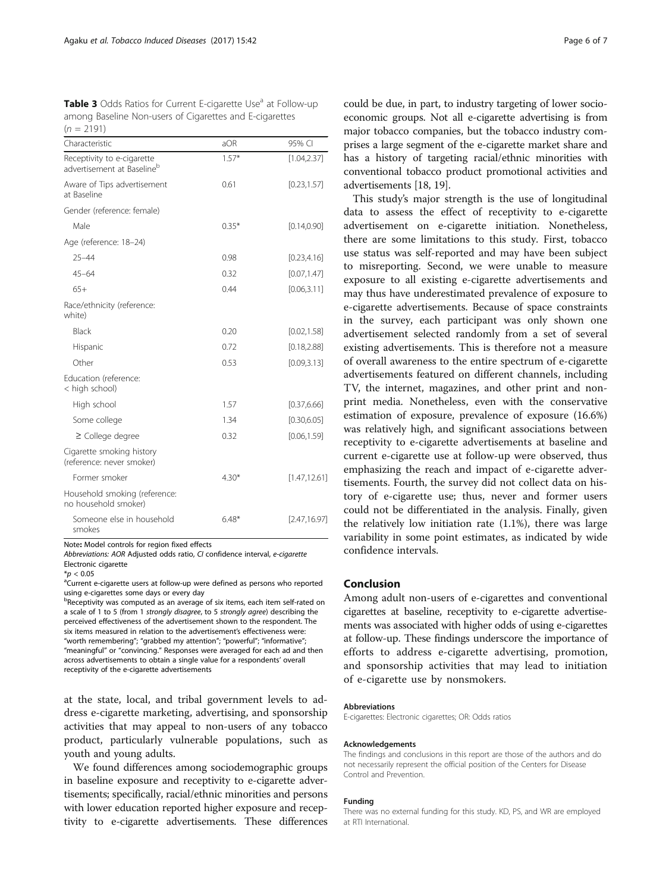<span id="page-5-0"></span>Table 3 Odds Ratios for Current E-cigarette Use<sup>a</sup> at Follow-up among Baseline Non-users of Cigarettes and E-cigarettes  $(n = 2191)$ 

| Characteristic                                                       | aOR     | 95% CI        |
|----------------------------------------------------------------------|---------|---------------|
| Receptivity to e-cigarette<br>advertisement at Baseline <sup>b</sup> | $1.57*$ | [1.04, 2.37]  |
| Aware of Tips advertisement<br>at Baseline                           | 0.61    | [0.23, 1.57]  |
| Gender (reference: female)                                           |         |               |
| Male                                                                 | $0.35*$ | [0.14, 0.90]  |
| Age (reference: 18-24)                                               |         |               |
| $25 - 44$                                                            | 0.98    | [0.23, 4.16]  |
| $45 - 64$                                                            | 0.32    | [0.07, 1.47]  |
| $65+$                                                                | 0.44    | [0.06, 3.11]  |
| Race/ethnicity (reference:<br>white)                                 |         |               |
| Black                                                                | 0.20    | [0.02, 1.58]  |
| Hispanic                                                             | 0.72    | [0.18, 2.88]  |
| Other                                                                | 0.53    | [0.09, 3.13]  |
| Education (reference:<br>< high school)                              |         |               |
| High school                                                          | 1.57    | [0.37, 6.66]  |
| Some college                                                         | 1.34    | [0.30, 6.05]  |
| $\geq$ College degree                                                | 0.32    | [0.06, 1.59]  |
| Cigarette smoking history<br>(reference: never smoker)               |         |               |
| Former smoker                                                        | $4.30*$ | [1.47, 12.61] |
| Household smoking (reference:<br>no household smoker)                |         |               |
| Someone else in household<br>smokes                                  | $6.48*$ | [2.47, 16.97] |

Note: Model controls for region fixed effects

Abbreviations: AOR Adjusted odds ratio, CI confidence interval, e-cigarette Electronic cigarette

 $*$ *p* < 0.05

<sup>a</sup>Current e-cigarette users at follow-up were defined as persons who reported using e-cigarettes some days or every day

<sup>b</sup>Receptivity was computed as an average of six items, each item self-rated on a scale of 1 to 5 (from 1 strongly disagree, to 5 strongly agree) describing the perceived effectiveness of the advertisement shown to the respondent. The six items measured in relation to the advertisement's effectiveness were: "worth remembering"; "grabbed my attention"; "powerful"; "informative"; "meaningful" or "convincing." Responses were averaged for each ad and then across advertisements to obtain a single value for a respondents' overall receptivity of the e-cigarette advertisements

at the state, local, and tribal government levels to address e-cigarette marketing, advertising, and sponsorship activities that may appeal to non-users of any tobacco product, particularly vulnerable populations, such as youth and young adults.

We found differences among sociodemographic groups in baseline exposure and receptivity to e-cigarette advertisements; specifically, racial/ethnic minorities and persons with lower education reported higher exposure and receptivity to e-cigarette advertisements. These differences could be due, in part, to industry targeting of lower socioeconomic groups. Not all e-cigarette advertising is from major tobacco companies, but the tobacco industry comprises a large segment of the e-cigarette market share and has a history of targeting racial/ethnic minorities with conventional tobacco product promotional activities and advertisements [\[18, 19](#page-6-0)].

This study's major strength is the use of longitudinal data to assess the effect of receptivity to e-cigarette advertisement on e-cigarette initiation. Nonetheless, there are some limitations to this study. First, tobacco use status was self-reported and may have been subject to misreporting. Second, we were unable to measure exposure to all existing e-cigarette advertisements and may thus have underestimated prevalence of exposure to e-cigarette advertisements. Because of space constraints in the survey, each participant was only shown one advertisement selected randomly from a set of several existing advertisements. This is therefore not a measure of overall awareness to the entire spectrum of e-cigarette advertisements featured on different channels, including TV, the internet, magazines, and other print and nonprint media. Nonetheless, even with the conservative estimation of exposure, prevalence of exposure (16.6%) was relatively high, and significant associations between receptivity to e-cigarette advertisements at baseline and current e-cigarette use at follow-up were observed, thus emphasizing the reach and impact of e-cigarette advertisements. Fourth, the survey did not collect data on history of e-cigarette use; thus, never and former users could not be differentiated in the analysis. Finally, given the relatively low initiation rate (1.1%), there was large variability in some point estimates, as indicated by wide confidence intervals.

## Conclusion

Among adult non-users of e-cigarettes and conventional cigarettes at baseline, receptivity to e-cigarette advertisements was associated with higher odds of using e-cigarettes at follow-up. These findings underscore the importance of efforts to address e-cigarette advertising, promotion, and sponsorship activities that may lead to initiation of e-cigarette use by nonsmokers.

#### Abbreviations

E-cigarettes: Electronic cigarettes; OR: Odds ratios

#### Acknowledgements

The findings and conclusions in this report are those of the authors and do not necessarily represent the official position of the Centers for Disease Control and Prevention.

#### Funding

There was no external funding for this study. KD, PS, and WR are employed at RTI International.